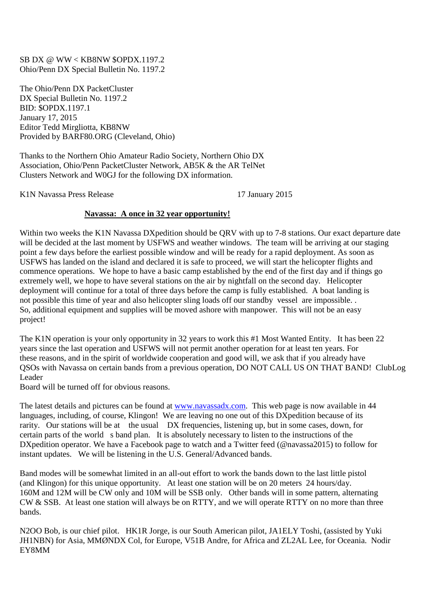## SB DX @ WW < KB8NW \$OPDX.1197.2 Ohio/Penn DX Special Bulletin No. 1197.2

The Ohio/Penn DX PacketCluster DX Special Bulletin No. 1197.2 BID: \$OPDX.1197.1 January 17, 2015 Editor Tedd Mirgliotta, KB8NW Provided by BARF80.ORG (Cleveland, Ohio)

Thanks to the Northern Ohio Amateur Radio Society, Northern Ohio DX Association, Ohio/Penn PacketCluster Network, AB5K & the AR TelNet Clusters Network and W0GJ for the following DX information.

K1N Navassa Press Release 17 January 2015

## **Navassa: A once in 32 year opportunity!**

Within two weeks the K1N Navassa DXpedition should be QRV with up to 7-8 stations. Our exact departure date will be decided at the last moment by USFWS and weather windows. The team will be arriving at our staging point a few days before the earliest possible window and will be ready for a rapid deployment. As soon as USFWS has landed on the island and declared it is safe to proceed, we will start the helicopter flights and commence operations. We hope to have a basic camp established by the end of the first day and if things go extremely well, we hope to have several stations on the air by nightfall on the second day. Helicopter deployment will continue for a total of three days before the camp is fully established. A boat landing is not possible this time of year and also helicopter sling loads off our standby vessel are impossible. . So, additional equipment and supplies will be moved ashore with manpower. This will not be an easy project!

The K1N operation is your only opportunity in 32 years to work this #1 Most Wanted Entity. It has been 22 years since the last operation and USFWS will not permit another operation for at least ten years. For these reasons, and in the spirit of worldwide cooperation and good will, we ask that if you already have QSOs with Navassa on certain bands from a previous operation, DO NOT CALL US ON THAT BAND! ClubLog Leader

Board will be turned off for obvious reasons.

The latest details and pictures can be found at www.navassadx.com. This web page is now available in 44 languages, including, of course, Klingon! We are leaving no one out of this DXpedition because of its rarity. Our stations will be at the usual DX frequencies, listening up, but in some cases, down, for certain parts of the world s band plan. It is absolutely necessary to listen to the instructions of the DXpedition operator. We have a Facebook page to watch and a Twitter feed (@navassa2015) to follow for instant updates. We will be listening in the U.S. General/Advanced bands.

Band modes will be somewhat limited in an all-out effort to work the bands down to the last little pistol (and Klingon) for this unique opportunity. At least one station will be on 20 meters 24 hours/day. 160M and 12M will be CW only and 10M will be SSB only. Other bands will in some pattern, alternating CW & SSB. At least one station will always be on RTTY, and we will operate RTTY on no more than three bands.

N2OO Bob, is our chief pilot. HK1R Jorge, is our South American pilot, JA1ELY Toshi, (assisted by Yuki JH1NBN) for Asia, MMØNDX Col, for Europe, V51B Andre, for Africa and ZL2AL Lee, for Oceania. Nodir EY8MM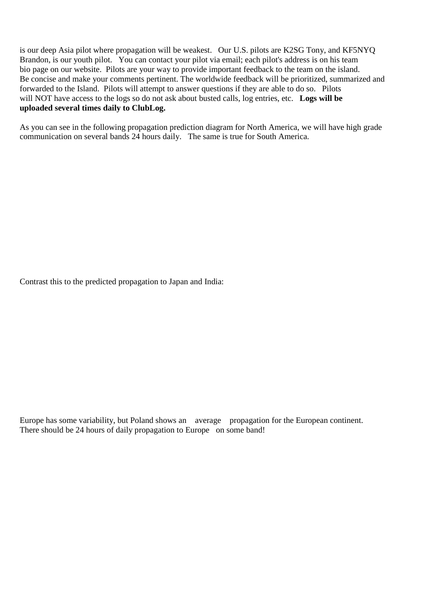is our deep Asia pilot where propagation will be weakest. Our U.S. pilots are K2SG Tony, and KF5NYQ Brandon, is our youth pilot. You can contact your pilot via email; each pilot's address is on his team bio page on our website. Pilots are your way to provide important feedback to the team on the island. Be concise and make your comments pertinent. The worldwide feedback will be prioritized, summarized and forwarded to the Island. Pilots will attempt to answer questions if they are able to do so. Pilots will NOT have access to the logs so do not ask about busted calls, log entries, etc. **Logs will be uploaded several times daily to ClubLog.** 

As you can see in the following propagation prediction diagram for North America, we will have high grade communication on several bands 24 hours daily. The same is true for South America.

Contrast this to the predicted propagation to Japan and India:

Europe has some variability, but Poland shows an average propagation for the European continent. There should be 24 hours of daily propagation to Europe on some band!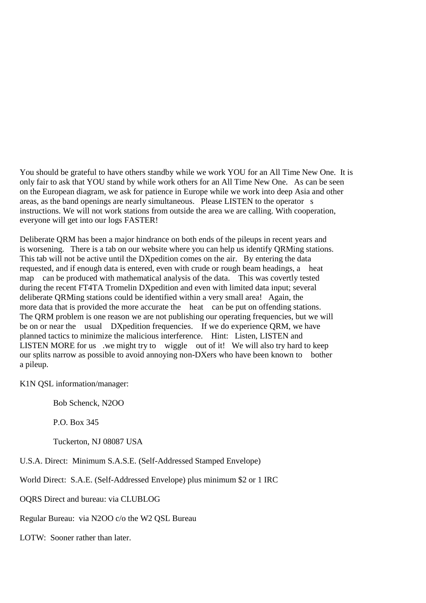You should be grateful to have others standby while we work YOU for an All Time New One. It is only fair to ask that YOU stand by while work others for an All Time New One. As can be seen on the European diagram, we ask for patience in Europe while we work into deep Asia and other areas, as the band openings are nearly simultaneous. Please LISTEN to the operator s instructions. We will not work stations from outside the area we are calling. With cooperation, everyone will get into our logs FASTER!

Deliberate QRM has been a major hindrance on both ends of the pileups in recent years and is worsening. There is a tab on our website where you can help us identify QRMing stations. This tab will not be active until the DXpedition comes on the air. By entering the data requested, and if enough data is entered, even with crude or rough beam headings, a heat map can be produced with mathematical analysis of the data. This was covertly tested during the recent FT4TA Tromelin DXpedition and even with limited data input; several deliberate QRMing stations could be identified within a very small area! Again, the more data that is provided the more accurate the heat can be put on offending stations. The QRM problem is one reason we are not publishing our operating frequencies, but we will be on or near the usual DXpedition frequencies. If we do experience QRM, we have planned tactics to minimize the malicious interference. Hint: Listen, LISTEN and LISTEN MORE for us we might try to wiggle out of it! We will also try hard to keep our splits narrow as possible to avoid annoying non-DXers who have been known to bother a pileup.

K1N QSL information/manager:

Bob Schenck, N2OO

P.O. Box 345

Tuckerton, NJ 08087 USA

U.S.A. Direct: Minimum S.A.S.E. (Self-Addressed Stamped Envelope)

World Direct: S.A.E. (Self-Addressed Envelope) plus minimum \$2 or 1 IRC

OQRS Direct and bureau: via CLUBLOG

Regular Bureau: via N2OO c/o the W2 QSL Bureau

LOTW: Sooner rather than later.